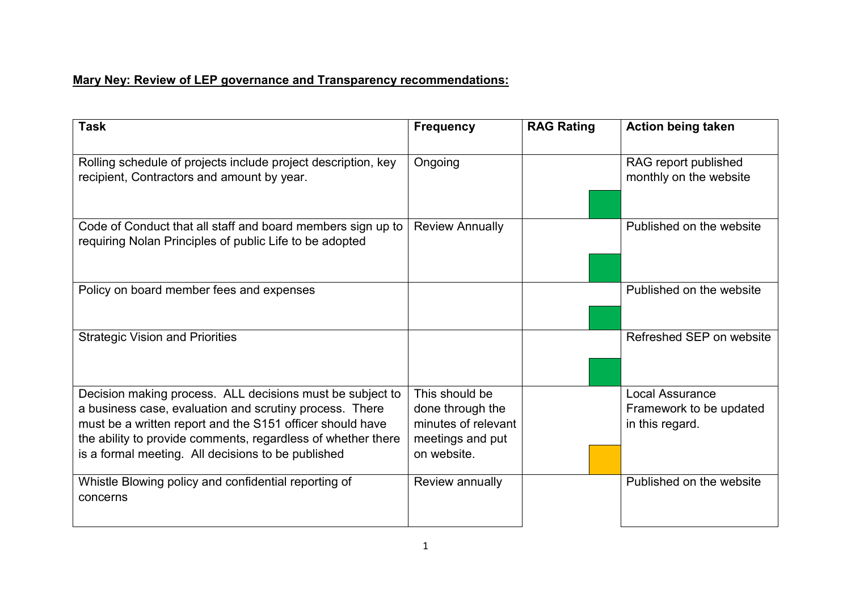## Mary Ney: Review of LEP governance and Transparency recommendations:

| <b>Task</b>                                                                                                                                                                                                                                                                                             | <b>Frequency</b>                                                                             | <b>RAG Rating</b> | <b>Action being taken</b>                                     |
|---------------------------------------------------------------------------------------------------------------------------------------------------------------------------------------------------------------------------------------------------------------------------------------------------------|----------------------------------------------------------------------------------------------|-------------------|---------------------------------------------------------------|
| Rolling schedule of projects include project description, key<br>recipient, Contractors and amount by year.                                                                                                                                                                                             | Ongoing                                                                                      |                   | RAG report published<br>monthly on the website                |
| Code of Conduct that all staff and board members sign up to<br>requiring Nolan Principles of public Life to be adopted                                                                                                                                                                                  | <b>Review Annually</b>                                                                       |                   | Published on the website                                      |
| Policy on board member fees and expenses                                                                                                                                                                                                                                                                |                                                                                              |                   | Published on the website                                      |
| <b>Strategic Vision and Priorities</b>                                                                                                                                                                                                                                                                  |                                                                                              |                   | Refreshed SEP on website                                      |
| Decision making process. ALL decisions must be subject to<br>a business case, evaluation and scrutiny process. There<br>must be a written report and the S151 officer should have<br>the ability to provide comments, regardless of whether there<br>is a formal meeting. All decisions to be published | This should be<br>done through the<br>minutes of relevant<br>meetings and put<br>on website. |                   | Local Assurance<br>Framework to be updated<br>in this regard. |
| Whistle Blowing policy and confidential reporting of<br>concerns                                                                                                                                                                                                                                        | Review annually                                                                              |                   | Published on the website                                      |